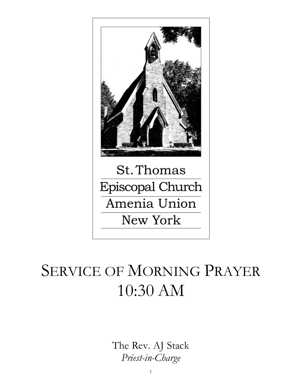

# SERVICE OF MORNING PRAYER 10:30 AM

The Rev. AJ Stack Priest-in-Charge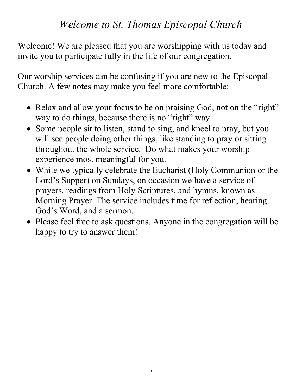## Welcome to St. Thomas Episcopal Church

Welcome! We are pleased that you are worshipping with us today and invite you to participate fully in the life of our congregation.

Our worship services can be confusing if you are new to the Episcopal Church. A few notes may make you feel more comfortable:

- Relax and allow your focus to be on praising God, not on the "right" way to do things, because there is no "right" way.
- Some people sit to listen, stand to sing, and kneel to pray, but you will see people doing other things, like standing to pray or sitting throughout the whole service. Do what makes your worship experience most meaningful for you.
- While we typically celebrate the Eucharist (Holy Communion or the Lord's Supper) on Sundays, on occasion we have a service of prayers, readings from Holy Scriptures, and hymns, known as Morning Prayer. The service includes time for reflection, hearing God's Word, and a sermon.
- Please feel free to ask questions. Anyone in the congregation will be happy to try to answer them!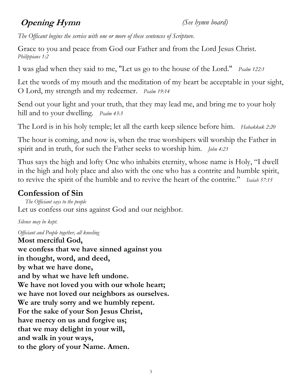## **Opening Hymn** (See hymn board)

The Officant begins the service with one or more of these sentences of Scripture.

Grace to you and peace from God our Father and from the Lord Jesus Christ. Philippians 1:2

I was glad when they said to me, "Let us go to the house of the Lord." *Psalm 122:1* 

Let the words of my mouth and the meditation of my heart be acceptable in your sight, O Lord, my strength and my redeemer. Psalm 19:14

Send out your light and your truth, that they may lead me, and bring me to your holy hill and to your dwelling. *Psalm 43:3* 

The Lord is in his holy temple; let all the earth keep silence before him. Habakkuk 2:20

The hour is coming, and now is, when the true worshipers will worship the Father in spirit and in truth, for such the Father seeks to worship him. *John* 4:23

Thus says the high and lofty One who inhabits eternity, whose name is Holy, "I dwell in the high and holy place and also with the one who has a contrite and humble spirit, to revive the spirit of the humble and to revive the heart of the contrite." Isaiah 57:15

### Confession of Sin

 The Officiant says to the people Let us confess our sins against God and our neighbor.

Silence may be kept.

Officiant and People together, all kneeling

Most merciful God, we confess that we have sinned against you in thought, word, and deed, by what we have done, and by what we have left undone. We have not loved you with our whole heart; we have not loved our neighbors as ourselves. We are truly sorry and we humbly repent. For the sake of your Son Jesus Christ, have mercy on us and forgive us; that we may delight in your will, and walk in your ways, to the glory of your Name. Amen.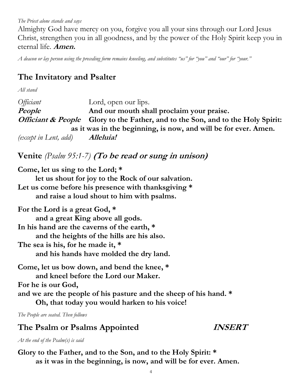The Priest alone stands and says

Almighty God have mercy on you, forgive you all your sins through our Lord Jesus Christ, strengthen you in all goodness, and by the power of the Holy Spirit keep you in eternal life. Amen.

A deacon or lay person using the preceding form remains kneeling, and substitutes "us" for "you" and "our" for "your."

#### The Invitatory and Psalter

All stand

Officiant Lord, open our lips. People **And our mouth shall proclaim your praise.** Officiant & People Glory to the Father, and to the Son, and to the Holy Spirit: as it was in the beginning, is now, and will be for ever. Amen. (except in Lent, add) **Alleluia!** 

#### Venite  $(Psalm 95:1-7)$  (To be read or sung in unison)

Come, let us sing to the Lord; \* let us shout for joy to the Rock of our salvation. Let us come before his presence with thanksgiving \* and raise a loud shout to him with psalms.

For the Lord is a great God, \* and a great King above all gods. In his hand are the caverns of the earth, \* and the heights of the hills are his also. The sea is his, for he made it, \* and his hands have molded the dry land.

Come, let us bow down, and bend the knee, \* and kneel before the Lord our Maker. For he is our God, and we are the people of his pasture and the sheep of his hand. \* Oh, that today you would harken to his voice!

The People are seated. Then follows

#### The Psalm or Psalms Appointed *INSERT*

At the end of the Psalm(s) is said

Glory to the Father, and to the Son, and to the Holy Spirit: \* as it was in the beginning, is now, and will be for ever. Amen.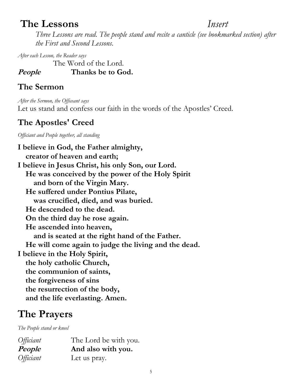## The Lessons Insert

Three Lessons are read. The people stand and recite a canticle (see bookmarked section) after the First and Second Lessons.

After each Lesson, the Reader says

The Word of the Lord.

People Thanks be to God.

#### The Sermon

After the Sermon, the Officeant says Let us stand and confess our faith in the words of the Apostles' Creed.

### The Apostles' Creed

Officiant and People together, all standing

I believe in God, the Father almighty, creator of heaven and earth; I believe in Jesus Christ, his only Son, our Lord. He was conceived by the power of the Holy Spirit and born of the Virgin Mary. He suffered under Pontius Pilate, was crucified, died, and was buried. He descended to the dead. On the third day he rose again. He ascended into heaven, and is seated at the right hand of the Father. He will come again to judge the living and the dead. I believe in the Holy Spirit, the holy catholic Church, the communion of saints, the forgiveness of sins the resurrection of the body, and the life everlasting. Amen.

## The Prayers

The People stand or kneel

| <i>Officiant</i> | The Lord be with you. |
|------------------|-----------------------|
| People           | And also with you.    |
| <i>Officiant</i> | Let us pray.          |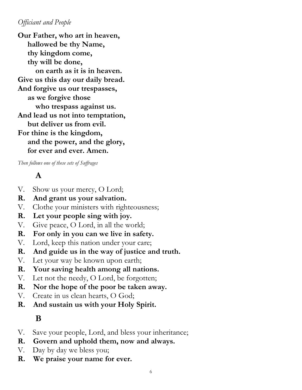#### Officiant and People

Our Father, who art in heaven, hallowed be thy Name, thy kingdom come, thy will be done, on earth as it is in heaven. Give us this day our daily bread. And forgive us our trespasses, as we forgive those who trespass against us. And lead us not into temptation, but deliver us from evil. For thine is the kingdom, and the power, and the glory, for ever and ever. Amen.

Then follows one of these sets of Suffrages

#### A

- V. Show us your mercy, O Lord;
- R. And grant us your salvation.
- V. Clothe your ministers with righteousness;
- R. Let your people sing with joy.
- V. Give peace, O Lord, in all the world;
- R. For only in you can we live in safety.
- V. Lord, keep this nation under your care;
- R. And guide us in the way of justice and truth.
- V. Let your way be known upon earth;
- R. Your saving health among all nations.
- V. Let not the needy, O Lord, be forgotten;
- R. Nor the hope of the poor be taken away.
- V. Create in us clean hearts, O God;
- R. And sustain us with your Holy Spirit.

#### B

- V. Save your people, Lord, and bless your inheritance;
- R. Govern and uphold them, now and always.
- V. Day by day we bless you;
- R. We praise your name for ever.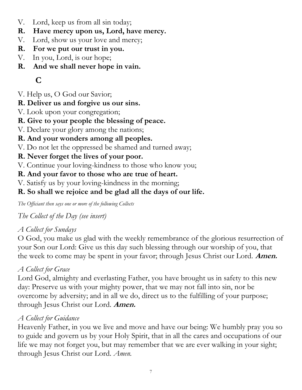- V. Lord, keep us from all sin today;
- R. Have mercy upon us, Lord, have mercy.
- V. Lord, show us your love and mercy;
- R. For we put our trust in you.
- V. In you, Lord, is our hope;
- R. And we shall never hope in vain.

## C

V. Help us, O God our Savior;

#### R. Deliver us and forgive us our sins.

- V. Look upon your congregation;
- R. Give to your people the blessing of peace.
- V. Declare your glory among the nations;
- R. And your wonders among all peoples.
- V. Do not let the oppressed be shamed and turned away;

#### R. Never forget the lives of your poor.

V. Continue your loving-kindness to those who know you;

#### R. And your favor to those who are true of heart.

V. Satisfy us by your loving-kindness in the morning;

#### R. So shall we rejoice and be glad all the days of our life.

The Officiant then says one or more of the following Collects

The Collect of the Day (see insert)

#### A Collect for Sundays

O God, you make us glad with the weekly remembrance of the glorious resurrection of your Son our Lord: Give us this day such blessing through our worship of you, that the week to come may be spent in your favor; through Jesus Christ our Lord. **Amen.** 

#### A Collect for Grace

Lord God, almighty and everlasting Father, you have brought us in safety to this new day: Preserve us with your mighty power, that we may not fall into sin, nor be overcome by adversity; and in all we do, direct us to the fulfilling of your purpose; through Jesus Christ our Lord. Amen.

#### A Collect for Guidance

Heavenly Father, in you we live and move and have our being: We humbly pray you so to guide and govern us by your Holy Spirit, that in all the cares and occupations of our life we may not forget you, but may remember that we are ever walking in your sight; through Jesus Christ our Lord. Amen.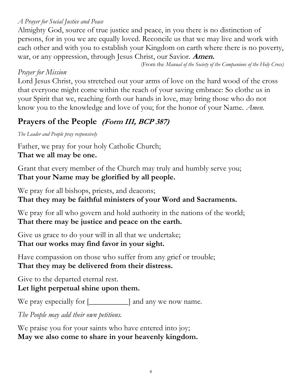#### A Prayer for Social Justice and Peace

Almighty God, source of true justice and peace, in you there is no distinction of persons, for in you we are equally loved. Reconcile us that we may live and work with each other and with you to establish your Kingdom on earth where there is no poverty, war, or any oppression, through Jesus Christ, our Savior. Amen.

(From the Manual of the Society of the Companions of the Holy Cross)

#### Prayer for Mission

Lord Jesus Christ, you stretched out your arms of love on the hard wood of the cross that everyone might come within the reach of your saving embrace: So clothe us in your Spirit that we, reaching forth our hands in love, may bring those who do not know you to the knowledge and love of you; for the honor of your Name. Amen.

#### Prayers of the People (Form III, BCP 387)

The Leader and People pray responsively

Father, we pray for your holy Catholic Church; That we all may be one.

Grant that every member of the Church may truly and humbly serve you; That your Name may be glorified by all people.

We pray for all bishops, priests, and deacons; That they may be faithful ministers of your Word and Sacraments.

We pray for all who govern and hold authority in the nations of the world; That there may be justice and peace on the earth.

Give us grace to do your will in all that we undertake; That our works may find favor in your sight.

Have compassion on those who suffer from any grief or trouble; That they may be delivered from their distress.

Give to the departed eternal rest. Let light perpetual shine upon them.

We pray especially for  $[\_\_\_\_\]$  and any we now name.

The People may add their own petitions.

We praise you for your saints who have entered into joy; May we also come to share in your heavenly kingdom.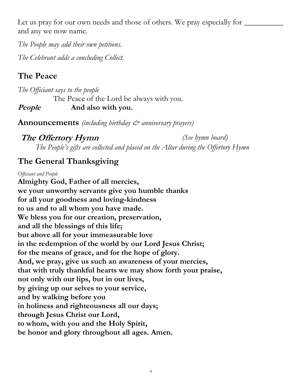Let us pray for our own needs and those of others. We pray especially for and any we now name.

The People may add their own petitions. The Celebrant adds a concluding Collect.

## The Peace

The Officiant says to the people The Peace of the Lord be always with you. People And also with you.

**Announcements** (including birthday  $\mathcal{C}^*$  anniversary prayers)

**The Offertory Hymn** (See hymn board) The People's gifts are collected and placed on the Altar during the Offertory Hymn

#### The General Thanksgiving

#### Officiant and People

Almighty God, Father of all mercies, we your unworthy servants give you humble thanks for all your goodness and loving-kindness to us and to all whom you have made. We bless you for our creation, preservation, and all the blessings of this life; but above all for your immeasurable love in the redemption of the world by our Lord Jesus Christ; for the means of grace, and for the hope of glory. And, we pray, give us such an awareness of your mercies, that with truly thankful hearts we may show forth your praise, not only with our lips, but in our lives, by giving up our selves to your service, and by walking before you in holiness and righteousness all our days; through Jesus Christ our Lord, to whom, with you and the Holy Spirit, be honor and glory throughout all ages. Amen.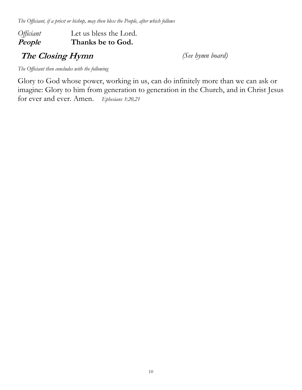The Officiant, if a priest or bishop, may then bless the People, after which follows

#### Officiant Let us bless the Lord. People Thanks be to God.

The Closing Hymn (See hymn board)

The Officiant then concludes with the following

Glory to God whose power, working in us, can do infinitely more than we can ask or imagine: Glory to him from generation to generation in the Church, and in Christ Jesus for ever and ever. Amen. Ephesians 3:20,21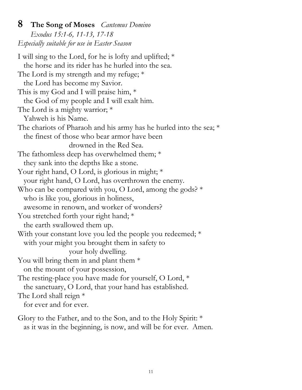#### **8** The Song of Moses *Cantemus Domino*

Exodus 15:1-6, 11-13, 17-18 Especially suitable for use in Easter Season

I will sing to the Lord, for he is lofty and uplifted; \* the horse and its rider has he hurled into the sea. The Lord is my strength and my refuge; \* the Lord has become my Savior. This is my God and I will praise him, \* the God of my people and I will exalt him. The Lord is a mighty warrior; \* Yahweh is his Name. The chariots of Pharaoh and his army has he hurled into the sea; \* the finest of those who bear armor have been drowned in the Red Sea. The fathomless deep has overwhelmed them; \* they sank into the depths like a stone. Your right hand, O Lord, is glorious in might; \* your right hand, O Lord, has overthrown the enemy. Who can be compared with you, O Lord, among the gods?  $*$  who is like you, glorious in holiness, awesome in renown, and worker of wonders? You stretched forth your right hand; \* the earth swallowed them up. With your constant love you led the people you redeemed; \* with your might you brought them in safety to your holy dwelling. You will bring them in and plant them  $*$  on the mount of your possession, The resting-place you have made for yourself, O Lord, \* the sanctuary, O Lord, that your hand has established. The Lord shall reign \* for ever and for ever.

Glory to the Father, and to the Son, and to the Holy Spirit: \* as it was in the beginning, is now, and will be for ever. Amen.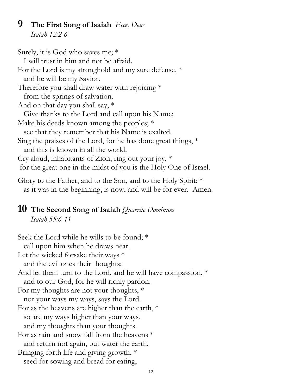#### **9** The First Song of Isaiah  $E_{\text{cce}}$ , Deus Isaiah 12:2-6

Surely, it is God who saves me; \* I will trust in him and not be afraid. For the Lord is my stronghold and my sure defense, \* and he will be my Savior. Therefore you shall draw water with rejoicing  $*$  from the springs of salvation. And on that day you shall say, \* Give thanks to the Lord and call upon his Name; Make his deeds known among the peoples; \* see that they remember that his Name is exalted. Sing the praises of the Lord, for he has done great things,  $*$  and this is known in all the world. Cry aloud, inhabitants of Zion, ring out your joy, \* for the great one in the midst of you is the Holy One of Israel.

Glory to the Father, and to the Son, and to the Holy Spirit: \* as it was in the beginning, is now, and will be for ever. Amen.

#### 10 The Second Song of Isaiah Quaerite Dominum Isaiah 55:6-11

Seek the Lord while he wills to be found; \* call upon him when he draws near. Let the wicked forsake their ways  $*$  and the evil ones their thoughts; And let them turn to the Lord, and he will have compassion, \* and to our God, for he will richly pardon. For my thoughts are not your thoughts, \* nor your ways my ways, says the Lord. For as the heavens are higher than the earth, \* so are my ways higher than your ways, and my thoughts than your thoughts. For as rain and snow fall from the heavens \* and return not again, but water the earth, Bringing forth life and giving growth, \* seed for sowing and bread for eating,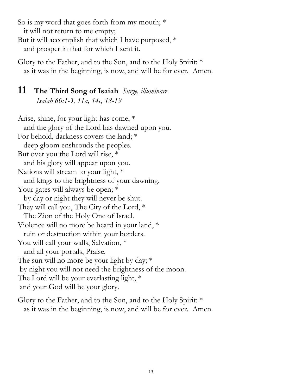So is my word that goes forth from my mouth; \* it will not return to me empty; But it will accomplish that which I have purposed, \*

and prosper in that for which I sent it.

Glory to the Father, and to the Son, and to the Holy Spirit: \* as it was in the beginning, is now, and will be for ever. Amen.

#### **11** The Third Song of Isaiah  $\textit{Surge, illuminare}$ Isaiah 60:1-3, 11a, 14c, 18-19

Arise, shine, for your light has come, \* and the glory of the Lord has dawned upon you. For behold, darkness covers the land; \* deep gloom enshrouds the peoples. But over you the Lord will rise, \* and his glory will appear upon you. Nations will stream to your light, \* and kings to the brightness of your dawning. Your gates will always be open;  $*$  by day or night they will never be shut. They will call you, The City of the Lord, \* The Zion of the Holy One of Israel. Violence will no more be heard in your land, \* ruin or destruction within your borders. You will call your walls, Salvation,  $*$  and all your portals, Praise. The sun will no more be your light by day;  $*$  by night you will not need the brightness of the moon. The Lord will be your everlasting light,  $*$ and your God will be your glory.

Glory to the Father, and to the Son, and to the Holy Spirit: \* as it was in the beginning, is now, and will be for ever. Amen.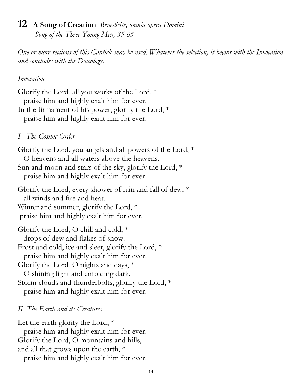## 12 A Song of Creation Benedicite, omnia opera Domini

Song of the Three Young Men, 35-65

One or more sections of this Canticle may be used. Whatever the selection, it begins with the Invocation and concludes with the Doxology.

#### Invocation

Glorify the Lord, all you works of the Lord, \* praise him and highly exalt him for ever. In the firmament of his power, glorify the Lord, \* praise him and highly exalt him for ever.

#### I The Cosmic Order

Glorify the Lord, you angels and all powers of the Lord, \* O heavens and all waters above the heavens. Sun and moon and stars of the sky, glorify the Lord, \* praise him and highly exalt him for ever.

Glorify the Lord, every shower of rain and fall of dew, \* all winds and fire and heat. Winter and summer, glorify the Lord,  $*$ praise him and highly exalt him for ever.

Glorify the Lord, O chill and cold, \* drops of dew and flakes of snow. Frost and cold, ice and sleet, glorify the Lord, \* praise him and highly exalt him for ever. Glorify the Lord, O nights and days, \* O shining light and enfolding dark. Storm clouds and thunderbolts, glorify the Lord, \* praise him and highly exalt him for ever.

#### II The Earth and its Creatures

Let the earth glorify the Lord, \*

 praise him and highly exalt him for ever. Glorify the Lord, O mountains and hills,

and all that grows upon the earth, \*

praise him and highly exalt him for ever.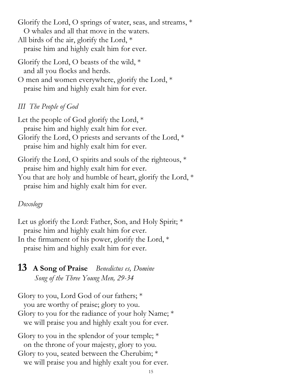Glorify the Lord, O springs of water, seas, and streams, \* O whales and all that move in the waters.

- All birds of the air, glorify the Lord, \* praise him and highly exalt him for ever.
- Glorify the Lord, O beasts of the wild,  $*$ and all you flocks and herds.
- O men and women everywhere, glorify the Lord, \* praise him and highly exalt him for ever.

#### III The People of God

Let the people of God glorify the Lord, \* praise him and highly exalt him for ever. Glorify the Lord, O priests and servants of the Lord, \* praise him and highly exalt him for ever.

- Glorify the Lord, O spirits and souls of the righteous, \* praise him and highly exalt him for ever.
- You that are holy and humble of heart, glorify the Lord, \* praise him and highly exalt him for ever.

#### Doxology

Let us glorify the Lord: Father, Son, and Holy Spirit;  $*$  praise him and highly exalt him for ever. In the firmament of his power, glorify the Lord, \* praise him and highly exalt him for ever.

#### 13 A Song of Praise Benedictus es, Domine Song of the Three Young Men, 29-34

Glory to you, Lord God of our fathers; \* you are worthy of praise; glory to you. Glory to you for the radiance of your holy Name; \* we will praise you and highly exalt you for ever.

Glory to you in the splendor of your temple;  $*$  on the throne of your majesty, glory to you. Glory to you, seated between the Cherubim; \* we will praise you and highly exalt you for ever.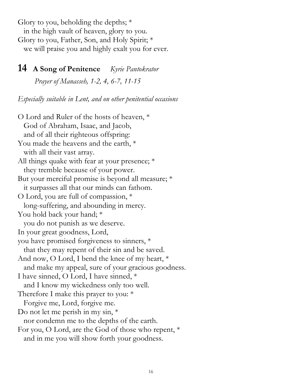Glory to you, beholding the depths;  $*$  in the high vault of heaven, glory to you. Glory to you, Father, Son, and Holy Spirit; \* we will praise you and highly exalt you for ever.

#### 14 A Song of Penitence Kyrie Pantokrator

Prayer of Manasseh, 1-2, 4, 6-7, 11-15

Especially suitable in Lent, and on other penitential occasions

O Lord and Ruler of the hosts of heaven, \* God of Abraham, Isaac, and Jacob, and of all their righteous offspring: You made the heavens and the earth, \* with all their vast array. All things quake with fear at your presence; \* they tremble because of your power. But your merciful promise is beyond all measure; \* it surpasses all that our minds can fathom. O Lord, you are full of compassion, \* long-suffering, and abounding in mercy. You hold back your hand; \* you do not punish as we deserve. In your great goodness, Lord, you have promised forgiveness to sinners, \* that they may repent of their sin and be saved. And now, O Lord, I bend the knee of my heart, \* and make my appeal, sure of your gracious goodness. I have sinned, O Lord, I have sinned, \* and I know my wickedness only too well. Therefore I make this prayer to you: \* Forgive me, Lord, forgive me. Do not let me perish in my sin,  $*$  nor condemn me to the depths of the earth. For you, O Lord, are the God of those who repent, \* and in me you will show forth your goodness.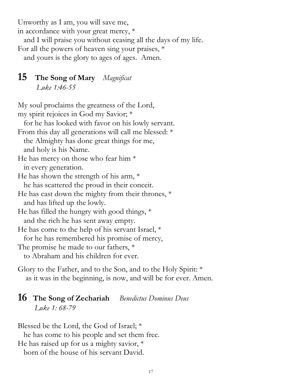Unworthy as I am, you will save me,

in accordance with your great mercy, \*

and I will praise you without ceasing all the days of my life.

For all the powers of heaven sing your praises, \*

and yours is the glory to ages of ages. Amen.

#### 15 The Song of Mary Magnificat Luke 1:46-55

My soul proclaims the greatness of the Lord, my spirit rejoices in God my Savior; \*

 for he has looked with favor on his lowly servant. From this day all generations will call me blessed: \* the Almighty has done great things for me, and holy is his Name. He has mercy on those who fear him \* in every generation. He has shown the strength of his arm,  $*$  he has scattered the proud in their conceit. He has cast down the mighty from their thrones, \* and has lifted up the lowly. He has filled the hungry with good things, \* and the rich he has sent away empty. He has come to the help of his servant Israel, \* for he has remembered his promise of mercy, The promise he made to our fathers, \* to Abraham and his children for ever.

Glory to the Father, and to the Son, and to the Holy Spirit: \* as it was in the beginning, is now, and will be for ever. Amen.

#### 16 The Song of Zechariah Benedictus Dominus Deus Luke 1: 68-79

Blessed be the Lord, the God of Israel; \* he has come to his people and set them free. He has raised up for us a mighty savior, \* born of the house of his servant David.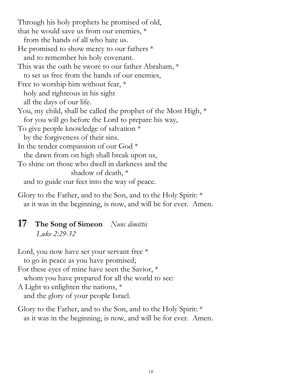Through his holy prophets he promised of old, that he would save us from our enemies, \* from the hands of all who hate us. He promised to show mercy to our fathers \* and to remember his holy covenant. This was the oath he swore to our father Abraham, \* to set us free from the hands of our enemies, Free to worship him without fear,  $*$  holy and righteous in his sight all the days of our life. You, my child, shall be called the prophet of the Most High,  $*$  for you will go before the Lord to prepare his way, To give people knowledge of salvation \* by the forgiveness of their sins. In the tender compassion of our God \* the dawn from on high shall break upon us, To shine on those who dwell in darkness and the shadow of death, \* and to guide our feet into the way of peace.

Glory to the Father, and to the Son, and to the Holy Spirit: \* as it was in the beginning, is now, and will be for ever. Amen.

#### 17 The Song of Simeon Nunc dimittis Luke 2:29-32

Lord, you now have set your servant free  $*$  to go in peace as you have promised; For these eyes of mine have seen the Savior, \* whom you have prepared for all the world to see: A Light to enlighten the nations, \*

and the glory of your people Israel.

Glory to the Father, and to the Son, and to the Holy Spirit: \* as it was in the beginning, is now, and will be for ever. Amen.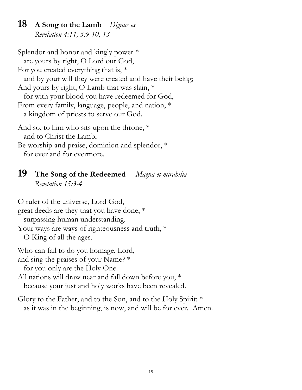#### 18 A Song to the Lamb Dignus es Revelation 4:11; 5:9-10, 13

Splendor and honor and kingly power \* are yours by right, O Lord our God, For you created everything that is, \* and by your will they were created and have their being; And yours by right, O Lamb that was slain, \* for with your blood you have redeemed for God, From every family, language, people, and nation, \* a kingdom of priests to serve our God. And so, to him who sits upon the throne, \* and to Christ the Lamb,

Be worship and praise, dominion and splendor, \* for ever and for evermore.

#### 19 The Song of the Redeemed Magna et mirabilia Revelation 15:3-4

O ruler of the universe, Lord God, great deeds are they that you have done, \* surpassing human understanding. Your ways are ways of righteousness and truth,  $*$  O King of all the ages. Who can fail to do you homage, Lord, and sing the praises of your Name? \* for you only are the Holy One. All nations will draw near and fall down before you, \* because your just and holy works have been revealed.

Glory to the Father, and to the Son, and to the Holy Spirit: \* as it was in the beginning, is now, and will be for ever. Amen.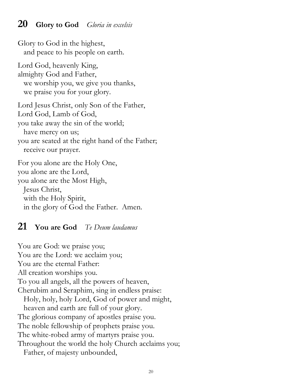#### **20** Glory to God Gloria in excelsis

Glory to God in the highest, and peace to his people on earth. Lord God, heavenly King, almighty God and Father, we worship you, we give you thanks, we praise you for your glory. Lord Jesus Christ, only Son of the Father, Lord God, Lamb of God, you take away the sin of the world; have mercy on us; you are seated at the right hand of the Father; receive our prayer. For you alone are the Holy One, you alone are the Lord, you alone are the Most High, Jesus Christ,

 with the Holy Spirit, in the glory of God the Father. Amen.

#### **21** You are God Te Deum laudamus

You are God: we praise you; You are the Lord: we acclaim you; You are the eternal Father: All creation worships you. To you all angels, all the powers of heaven, Cherubim and Seraphim, sing in endless praise: Holy, holy, holy Lord, God of power and might, heaven and earth are full of your glory. The glorious company of apostles praise you. The noble fellowship of prophets praise you. The white-robed army of martyrs praise you. Throughout the world the holy Church acclaims you; Father, of majesty unbounded,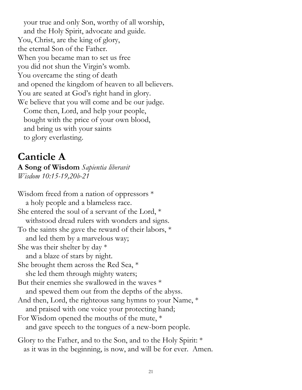your true and only Son, worthy of all worship, and the Holy Spirit, advocate and guide. You, Christ, are the king of glory, the eternal Son of the Father. When you became man to set us free you did not shun the Virgin's womb. You overcame the sting of death and opened the kingdom of heaven to all believers. You are seated at God's right hand in glory. We believe that you will come and be our judge. Come then, Lord, and help your people, bought with the price of your own blood, and bring us with your saints

to glory everlasting.

### Canticle A

A Song of Wisdom Sapientia liberavit Wisdom 10:15-19,20b-21

Wisdom freed from a nation of oppressors \* a holy people and a blameless race. She entered the soul of a servant of the Lord, \* withstood dread rulers with wonders and signs. To the saints she gave the reward of their labors, \* and led them by a marvelous way; She was their shelter by day  $*$  and a blaze of stars by night. She brought them across the Red Sea, \* she led them through mighty waters; But their enemies she swallowed in the waves \* and spewed them out from the depths of the abyss. And then, Lord, the righteous sang hymns to your Name, \* and praised with one voice your protecting hand; For Wisdom opened the mouths of the mute, \* and gave speech to the tongues of a new-born people. Glory to the Father, and to the Son, and to the Holy Spirit: \*

as it was in the beginning, is now, and will be for ever. Amen.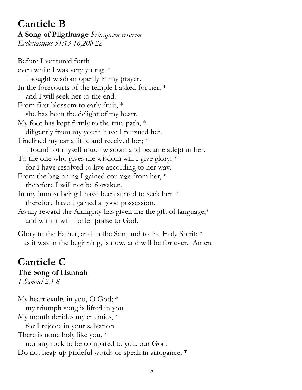#### Canticle B A Song of Pilgrimage Priusquam errarem Ecclesiasticus 51:13-16,20b-22

Before I ventured forth, even while I was very young, \* I sought wisdom openly in my prayer. In the forecourts of the temple I asked for her, \* and I will seek her to the end. From first blossom to early fruit, \* she has been the delight of my heart. My foot has kept firmly to the true path, \* diligently from my youth have I pursued her. I inclined my ear a little and received her; \* I found for myself much wisdom and became adept in her. To the one who gives me wisdom will I give glory, \* for I have resolved to live according to her way. From the beginning I gained courage from her, \* therefore I will not be forsaken. In my inmost being I have been stirred to seek her, \* therefore have I gained a good possession. As my reward the Almighty has given me the gift of language,\* and with it will I offer praise to God.

Glory to the Father, and to the Son, and to the Holy Spirit: \* as it was in the beginning, is now, and will be for ever. Amen.

#### Canticle C The Song of Hannah

1 Samuel 2:1-8

My heart exults in you, O God; \* my triumph song is lifted in you. My mouth derides my enemies, \* for I rejoice in your salvation. There is none holy like you, \* nor any rock to be compared to you, our God. Do not heap up prideful words or speak in arrogance; \*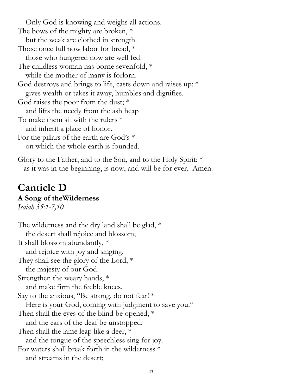Only God is knowing and weighs all actions. The bows of the mighty are broken, \* but the weak are clothed in strength. Those once full now labor for bread, \* those who hungered now are well fed. The childless woman has borne sevenfold, \* while the mother of many is forlorn. God destroys and brings to life, casts down and raises up; \* gives wealth or takes it away, humbles and dignifies. God raises the poor from the dust; \* and lifts the needy from the ash heap To make them sit with the rulers \* and inherit a place of honor. For the pillars of the earth are God's \* on which the whole earth is founded.

Glory to the Father, and to the Son, and to the Holy Spirit: \* as it was in the beginning, is now, and will be for ever. Amen.

## Canticle D

#### A Song of theWilderness

Isaiah 35:1-7,10

The wilderness and the dry land shall be glad, \* the desert shall rejoice and blossom; It shall blossom abundantly, \* and rejoice with joy and singing. They shall see the glory of the Lord, \* the majesty of our God. Strengthen the weary hands, \* and make firm the feeble knees. Say to the anxious, "Be strong, do not fear! \* Here is your God, coming with judgment to save you." Then shall the eyes of the blind be opened, \* and the ears of the deaf be unstopped. Then shall the lame leap like a deer,  $*$  and the tongue of the speechless sing for joy. For waters shall break forth in the wilderness \* and streams in the desert;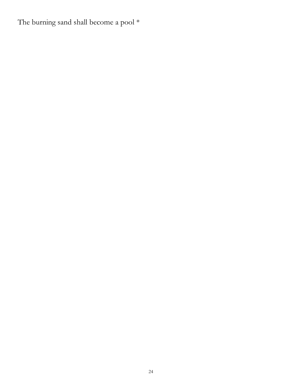The burning sand shall become a pool  $^{\ast}$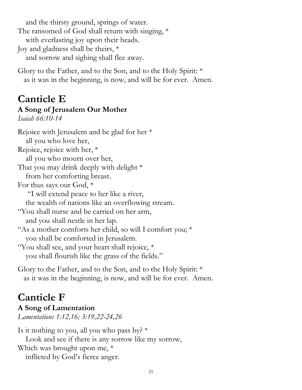and the thirsty ground, springs of water. The ransomed of God shall return with singing, \* with everlasting joy upon their heads. Joy and gladness shall be theirs, \* and sorrow and sighing shall flee away.

Glory to the Father, and to the Son, and to the Holy Spirit: \* as it was in the beginning, is now, and will be for ever. Amen.

## Canticle E

## A Song of Jerusalem Our Mother

Isaiah 66:10-14

Rejoice with Jerusalem and be glad for her \* all you who love her, Rejoice, rejoice with her, \* all you who mourn over her, That you may drink deeply with delight  $*$  from her comforting breast. For thus says our God, \* "I will extend peace to her like a river, the wealth of nations like an overflowing stream. "You shall nurse and be carried on her arm, and you shall nestle in her lap. "As a mother comforts her child, so will I comfort you; \* you shall be comforted in Jerusalem. "You shall see, and your heart shall rejoice, \* you shall flourish like the grass of the fields."

Glory to the Father, and to the Son, and to the Holy Spirit: \* as it was in the beginning, is now, and will be for ever. Amen.

## Canticle F

A Song of Lamentation Lamentations 1:12,16; 3:19,22-24,26

Is it nothing to you, all you who pass by?  $*$  Look and see if there is any sorrow like my sorrow, Which was brought upon me, \* inflicted by God's fierce anger.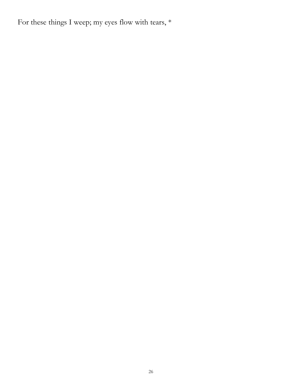For these things I weep; my eyes flow with tears,  $*$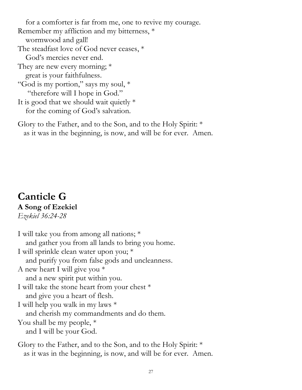for a comforter is far from me, one to revive my courage. Remember my affliction and my bitterness, \* wormwood and gall! The steadfast love of God never ceases, \* God's mercies never end. They are new every morning; \* great is your faithfulness. "God is my portion," says my soul, \* "therefore will I hope in God." It is good that we should wait quietly  $*$ for the coming of God's salvation.

Glory to the Father, and to the Son, and to the Holy Spirit: \* as it was in the beginning, is now, and will be for ever. Amen.

#### Canticle G A Song of Ezekiel Ezekiel 36:24-28

I will take you from among all nations; \* and gather you from all lands to bring you home. I will sprinkle clean water upon you; \* and purify you from false gods and uncleanness. A new heart I will give you \* and a new spirit put within you. I will take the stone heart from your chest \* and give you a heart of flesh. I will help you walk in my laws \* and cherish my commandments and do them. You shall be my people, \* and I will be your God. Glory to the Father, and to the Son, and to the Holy Spirit: \*

as it was in the beginning, is now, and will be for ever. Amen.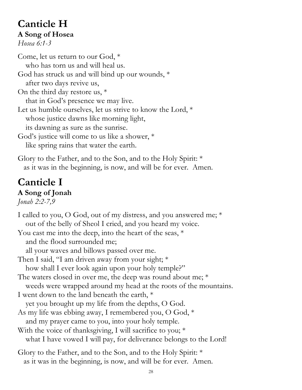## Canticle H A Song of Hosea

Hosea 6:1-3

Come, let us return to our God, \* who has torn us and will heal us. God has struck us and will bind up our wounds, \* after two days revive us, On the third day restore us, \* that in God's presence we may live. Let us humble ourselves, let us strive to know the Lord, \* whose justice dawns like morning light, its dawning as sure as the sunrise. God's justice will come to us like a shower, \* like spring rains that water the earth.

Glory to the Father, and to the Son, and to the Holy Spirit: \* as it was in the beginning, is now, and will be for ever. Amen.

## Canticle I A Song of Jonah

Jonah 2:2-7,9

I called to you, O God, out of my distress, and you answered me; \* out of the belly of Sheol I cried, and you heard my voice. You cast me into the deep, into the heart of the seas, \* and the flood surrounded me; all your waves and billows passed over me. Then I said, "I am driven away from your sight; \* how shall I ever look again upon your holy temple?" The waters closed in over me, the deep was round about me; \* weeds were wrapped around my head at the roots of the mountains. I went down to the land beneath the earth, \* yet you brought up my life from the depths, O God. As my life was ebbing away, I remembered you, O God, \* and my prayer came to you, into your holy temple. With the voice of thanksgiving, I will sacrifice to you; \* what I have vowed I will pay, for deliverance belongs to the Lord! Glory to the Father, and to the Son, and to the Holy Spirit: \* as it was in the beginning, is now, and will be for ever. Amen.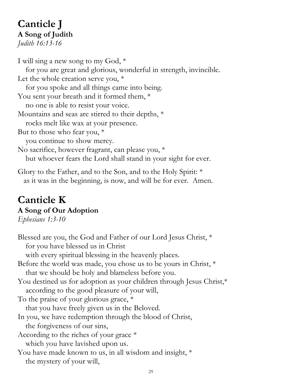#### Canticle J A Song of Judith Judith 16:13-16

I will sing a new song to my God, \* for you are great and glorious, wonderful in strength, invincible. Let the whole creation serve you,  $*$  for you spoke and all things came into being. You sent your breath and it formed them,  $*$  no one is able to resist your voice. Mountains and seas are stirred to their depths, \* rocks melt like wax at your presence. But to those who fear you, \* you continue to show mercy. No sacrifice, however fragrant, can please you, \* but whoever fears the Lord shall stand in your sight for ever.

Glory to the Father, and to the Son, and to the Holy Spirit: \* as it was in the beginning, is now, and will be for ever. Amen.

## Canticle K

#### A Song of Our Adoption

Ephesians 1:3-10

Blessed are you, the God and Father of our Lord Jesus Christ, \* for you have blessed us in Christ with every spiritual blessing in the heavenly places. Before the world was made, you chose us to be yours in Christ, \* that we should be holy and blameless before you. You destined us for adoption as your children through Jesus Christ,\* according to the good pleasure of your will, To the praise of your glorious grace, \* that you have freely given us in the Beloved. In you, we have redemption through the blood of Christ, the forgiveness of our sins, According to the riches of your grace \* which you have lavished upon us. You have made known to us, in all wisdom and insight,  $*$ the mystery of your will,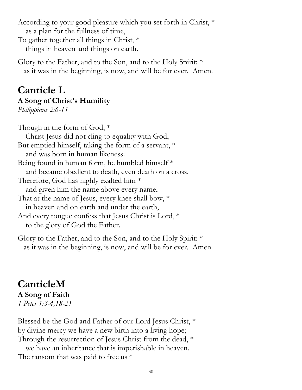According to your good pleasure which you set forth in Christ, \* as a plan for the fullness of time,

To gather together all things in Christ, \* things in heaven and things on earth.

Glory to the Father, and to the Son, and to the Holy Spirit: \* as it was in the beginning, is now, and will be for ever. Amen.

#### Canticle L A Song of Christ's Humility

Philippians 2:6-11

Though in the form of God, \* Christ Jesus did not cling to equality with God, But emptied himself, taking the form of a servant, \* and was born in human likeness. Being found in human form, he humbled himself \* and became obedient to death, even death on a cross. Therefore, God has highly exalted him \* and given him the name above every name, That at the name of Jesus, every knee shall bow, \* in heaven and on earth and under the earth, And every tongue confess that Jesus Christ is Lord, \* to the glory of God the Father.

Glory to the Father, and to the Son, and to the Holy Spirit: \* as it was in the beginning, is now, and will be for ever. Amen.

#### CanticleM A Song of Faith 1 Peter 1:3-4,18-21

Blessed be the God and Father of our Lord Jesus Christ, \* by divine mercy we have a new birth into a living hope; Through the resurrection of Jesus Christ from the dead, \* we have an inheritance that is imperishable in heaven. The ransom that was paid to free us  $*$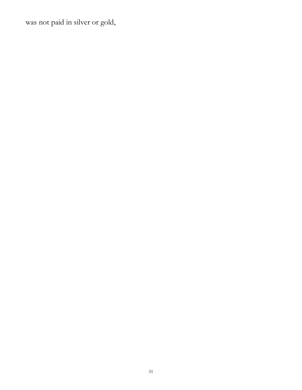was not paid in silver or gold,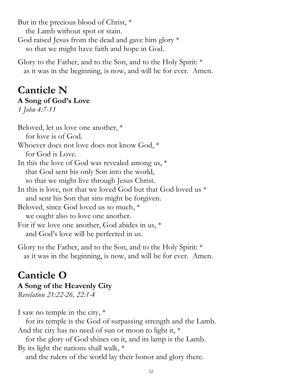But in the precious blood of Christ, \* the Lamb without spot or stain. God raised Jesus from the dead and gave him glory \* so that we might have faith and hope in God.

Glory to the Father, and to the Son, and to the Holy Spirit: \* as it was in the beginning, is now, and will be for ever. Amen.

## Canticle N A Song of God's Love

1 John 4:7-11

Beloved, let us love one another, \* for love is of God. Whoever does not love does not know God, \* for God is Love. In this the love of God was revealed among us, \* that God sent his only Son into the world, so that we might live through Jesus Christ. In this is love, not that we loved God but that God loved us \* and sent his Son that sins might be forgiven. Beloved, since God loved us so much, \* we ought also to love one another. For if we love one another, God abides in us, \* and God's love will be perfected in us.

Glory to the Father, and to the Son, and to the Holy Spirit: \* as it was in the beginning, is now, and will be for ever. Amen.

## Canticle O

#### A Song of the Heavenly City

Revelation 21:22-26, 22:1-4

I saw no temple in the city, \*

 for its temple is the God of surpassing strength and the Lamb. And the city has no need of sun or moon to light it, \*

 for the glory of God shines on it, and its lamp is the Lamb. By its light the nations shall walk, \*

and the rulers of the world lay their honor and glory there.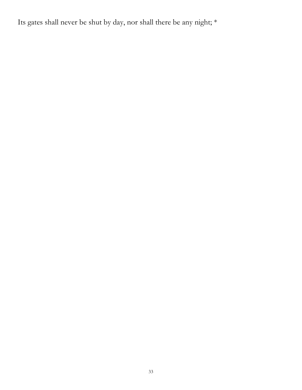Its gates shall never be shut by day, nor shall there be any night; \*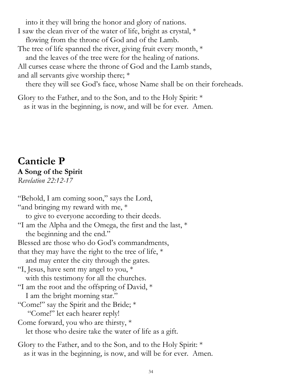into it they will bring the honor and glory of nations.

I saw the clean river of the water of life, bright as crystal, \* flowing from the throne of God and of the Lamb.

The tree of life spanned the river, giving fruit every month,  $*$ 

and the leaves of the tree were for the healing of nations.

All curses cease where the throne of God and the Lamb stands, and all servants give worship there; \*

there they will see God's face, whose Name shall be on their foreheads.

Glory to the Father, and to the Son, and to the Holy Spirit: \* as it was in the beginning, is now, and will be for ever. Amen.

#### Canticle P A Song of the Spirit Revelation 22:12-17

"Behold, I am coming soon," says the Lord, "and bringing my reward with me, \* to give to everyone according to their deeds. "I am the Alpha and the Omega, the first and the last, \* the beginning and the end." Blessed are those who do God's commandments, that they may have the right to the tree of life,  $*$  and may enter the city through the gates. "I, Jesus, have sent my angel to you, \* with this testimony for all the churches. "I am the root and the offspring of David, \* I am the bright morning star." "Come!" say the Spirit and the Bride; \* "Come!" let each hearer reply! Come forward, you who are thirsty, \* let those who desire take the water of life as a gift. Glory to the Father, and to the Son, and to the Holy Spirit: \*

as it was in the beginning, is now, and will be for ever. Amen.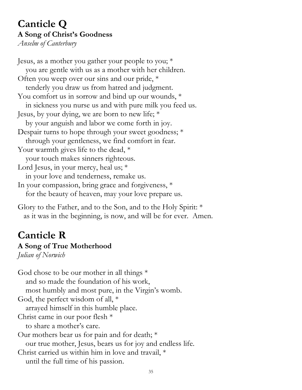## Canticle Q A Song of Christ's Goodness

Anselm of Canterbury

Jesus, as a mother you gather your people to you; \* you are gentle with us as a mother with her children. Often you weep over our sins and our pride, \* tenderly you draw us from hatred and judgment. You comfort us in sorrow and bind up our wounds,  $*$  in sickness you nurse us and with pure milk you feed us. Jesus, by your dying, we are born to new life; \* by your anguish and labor we come forth in joy. Despair turns to hope through your sweet goodness; \* through your gentleness, we find comfort in fear. Your warmth gives life to the dead,  $*$  your touch makes sinners righteous. Lord Jesus, in your mercy, heal us; \* in your love and tenderness, remake us. In your compassion, bring grace and forgiveness, \* for the beauty of heaven, may your love prepare us.

Glory to the Father, and to the Son, and to the Holy Spirit: \* as it was in the beginning, is now, and will be for ever. Amen.

## Canticle R A Song of True Motherhood

Julian of Norwich

God chose to be our mother in all things \* and so made the foundation of his work, most humbly and most pure, in the Virgin's womb. God, the perfect wisdom of all, \* arrayed himself in this humble place. Christ came in our poor flesh \* to share a mother's care. Our mothers bear us for pain and for death; \* our true mother, Jesus, bears us for joy and endless life. Christ carried us within him in love and travail, \* until the full time of his passion.